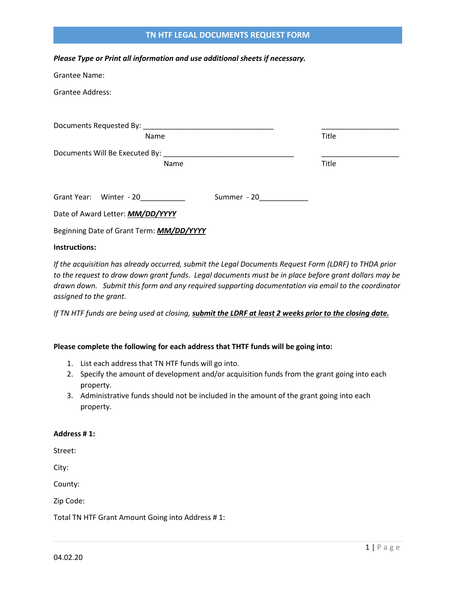# **TN HTF LEGAL DOCUMENTS REQUEST FORM**

*Please Type or Print all information and use additional sheets if necessary.*

| Grantee Name:                            |             |       |
|------------------------------------------|-------------|-------|
| <b>Grantee Address:</b>                  |             |       |
|                                          |             |       |
|                                          |             |       |
| Name                                     |             | Title |
|                                          |             |       |
| Name                                     |             | Title |
|                                          |             |       |
| Grant Year: Winter - 20                  | Summer - 20 |       |
| Date of Award Letter: MM/DD/YYYY         |             |       |
| Beginning Date of Grant Term: MM/DD/YYYY |             |       |
| Instructions:                            |             |       |

*If the acquisition has already occurred, submit the Legal Documents Request Form (LDRF) to THDA prior to the request to draw down grant funds. Legal documents must be in place before grant dollars may be drawn down. Submit this form and any required supporting documentation via email to the coordinator assigned to the grant.* 

*If TN HTF funds are being used at closing, submit the LDRF at least 2 weeks prior to the closing date.* 

#### **Please complete the following for each address that THTF funds will be going into:**

- 1. List each address that TN HTF funds will go into.
- 2. Specify the amount of development and/or acquisition funds from the grant going into each property.
- 3. Administrative funds should not be included in the amount of the grant going into each property.

# **Address # 1:**

Street:

City:

County:

Zip Code:

Total TN HTF Grant Amount Going into Address # 1: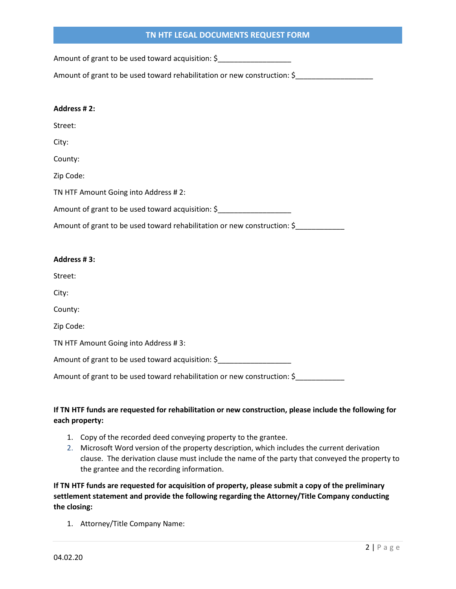# **TN HTF LEGAL DOCUMENTS REQUEST FORM**

Amount of grant to be used toward acquisition: \$

Amount of grant to be used toward rehabilitation or new construction: \$\_\_\_\_\_\_\_\_\_\_\_\_\_\_\_\_

#### **Address # 2:**

Street:

City:

County:

Zip Code:

TN HTF Amount Going into Address # 2:

Amount of grant to be used toward acquisition: \$

Amount of grant to be used toward rehabilitation or new construction: \$

### **Address # 3:**

Street:

City:

County:

Zip Code:

TN HTF Amount Going into Address # 3:

Amount of grant to be used toward acquisition: \$\_\_\_\_\_\_\_\_\_\_\_\_\_\_\_\_\_\_\_\_\_\_\_\_\_\_\_\_\_\_\_\_

Amount of grant to be used toward rehabilitation or new construction: \$

# **If TN HTF funds are requested for rehabilitation or new construction, please include the following for each property:**

- 1. Copy of the recorded deed conveying property to the grantee.
- 2. Microsoft Word version of the property description, which includes the current derivation clause. The derivation clause must include the name of the party that conveyed the property to the grantee and the recording information.

**If TN HTF funds are requested for acquisition of property, please submit a copy of the preliminary settlement statement and provide the following regarding the Attorney/Title Company conducting the closing:**

1. Attorney/Title Company Name: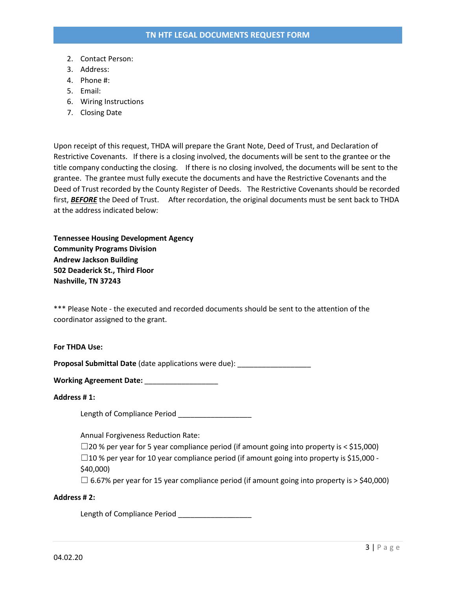- 2. Contact Person:
- 3. Address:
- 4. Phone #:
- 5. Email:
- 6. Wiring Instructions
- 7. Closing Date

Upon receipt of this request, THDA will prepare the Grant Note, Deed of Trust, and Declaration of Restrictive Covenants. If there is a closing involved, the documents will be sent to the grantee or the title company conducting the closing. If there is no closing involved, the documents will be sent to the grantee. The grantee must fully execute the documents and have the Restrictive Covenants and the Deed of Trust recorded by the County Register of Deeds. The Restrictive Covenants should be recorded first, *BEFORE* the Deed of Trust. After recordation, the original documents must be sent back to THDA at the address indicated below:

**Tennessee Housing Development Agency Community Programs Division Andrew Jackson Building 502 Deaderick St., Third Floor Nashville, TN 37243**

\*\*\* Please Note - the executed and recorded documents should be sent to the attention of the coordinator assigned to the grant.

#### **For THDA Use:**

**Proposal Submittal Date** (date applications were due): \_\_\_\_\_\_\_\_\_\_\_\_\_\_\_\_\_\_\_\_\_\_\_\_\_

**Working Agreement Date:** \_\_\_\_\_\_\_\_\_\_\_\_\_\_\_\_\_\_

#### **Address # 1:**

Length of Compliance Period

Annual Forgiveness Reduction Rate:

 $\square$ 20 % per year for 5 year compliance period (if amount going into property is < \$15,000)  $\square$ 10 % per year for 10 year compliance period (if amount going into property is \$15,000 -

\$40,000)

 $\Box$  6.67% per year for 15 year compliance period (if amount going into property is > \$40,000)

#### **Address # 2:**

Length of Compliance Period \_\_\_\_\_\_\_\_\_\_\_\_\_\_\_\_\_\_